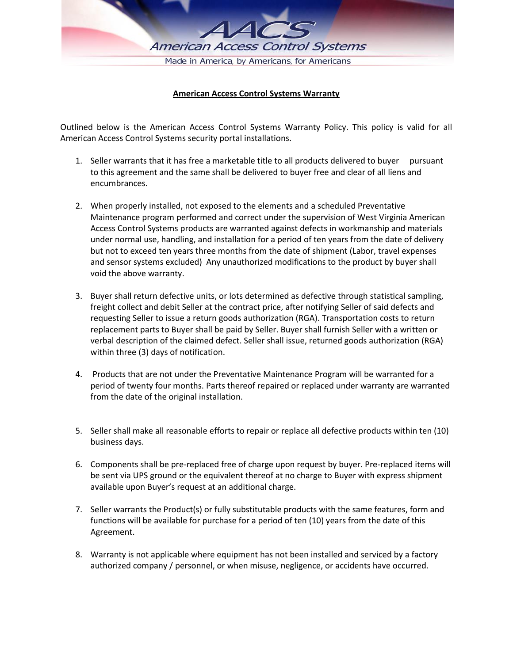

## **American Access Control Systems Warranty**

Outlined below is the American Access Control Systems Warranty Policy. This policy is valid for all American Access Control Systems security portal installations.

- 1. Seller warrants that it has free a marketable title to all products delivered to buyer pursuant to this agreement and the same shall be delivered to buyer free and clear of all liens and encumbrances.
- 2. When properly installed, not exposed to the elements and a scheduled Preventative Maintenance program performed and correct under the supervision of West Virginia American Access Control Systems products are warranted against defects in workmanship and materials under normal use, handling, and installation for a period of ten years from the date of delivery but not to exceed ten years three months from the date of shipment (Labor, travel expenses and sensor systems excluded) Any unauthorized modifications to the product by buyer shall void the above warranty.
- 3. Buyer shall return defective units, or lots determined as defective through statistical sampling, freight collect and debit Seller at the contract price, after notifying Seller of said defects and requesting Seller to issue a return goods authorization (RGA). Transportation costs to return replacement parts to Buyer shall be paid by Seller. Buyer shall furnish Seller with a written or verbal description of the claimed defect. Seller shall issue, returned goods authorization (RGA) within three (3) days of notification.
- 4. Products that are not under the Preventative Maintenance Program will be warranted for a period of twenty four months. Parts thereof repaired or replaced under warranty are warranted from the date of the original installation.
- 5. Seller shall make all reasonable efforts to repair or replace all defective products within ten (10) business days.
- 6. Components shall be pre-replaced free of charge upon request by buyer. Pre-replaced items will be sent via UPS ground or the equivalent thereof at no charge to Buyer with express shipment available upon Buyer's request at an additional charge.
- 7. Seller warrants the Product(s) or fully substitutable products with the same features, form and functions will be available for purchase for a period of ten (10) years from the date of this Agreement.
- 8. Warranty is not applicable where equipment has not been installed and serviced by a factory authorized company / personnel, or when misuse, negligence, or accidents have occurred.